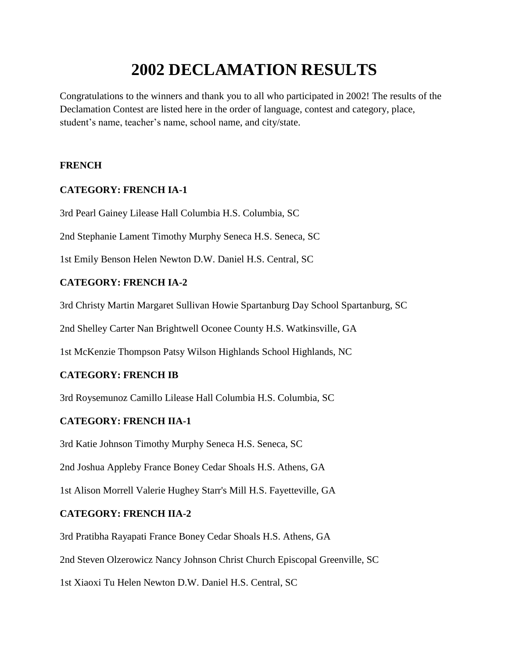# **2002 DECLAMATION RESULTS**

Congratulations to the winners and thank you to all who participated in 2002! The results of the Declamation Contest are listed here in the order of language, contest and category, place, student's name, teacher's name, school name, and city/state.

# **FRENCH**

# **CATEGORY: FRENCH IA-1**

3rd Pearl Gainey Lilease Hall Columbia H.S. Columbia, SC

2nd Stephanie Lament Timothy Murphy Seneca H.S. Seneca, SC

1st Emily Benson Helen Newton D.W. Daniel H.S. Central, SC

# **CATEGORY: FRENCH IA-2**

3rd Christy Martin Margaret Sullivan Howie Spartanburg Day School Spartanburg, SC

2nd Shelley Carter Nan Brightwell Oconee County H.S. Watkinsville, GA

1st McKenzie Thompson Patsy Wilson Highlands School Highlands, NC

## **CATEGORY: FRENCH IB**

3rd Roysemunoz Camillo Lilease Hall Columbia H.S. Columbia, SC

# **CATEGORY: FRENCH IIA-1**

3rd Katie Johnson Timothy Murphy Seneca H.S. Seneca, SC

2nd Joshua Appleby France Boney Cedar Shoals H.S. Athens, GA

1st Alison Morrell Valerie Hughey Starr's Mill H.S. Fayetteville, GA

# **CATEGORY: FRENCH IIA-2**

3rd Pratibha Rayapati France Boney Cedar Shoals H.S. Athens, GA

2nd Steven Olzerowicz Nancy Johnson Christ Church Episcopal Greenville, SC

1st Xiaoxi Tu Helen Newton D.W. Daniel H.S. Central, SC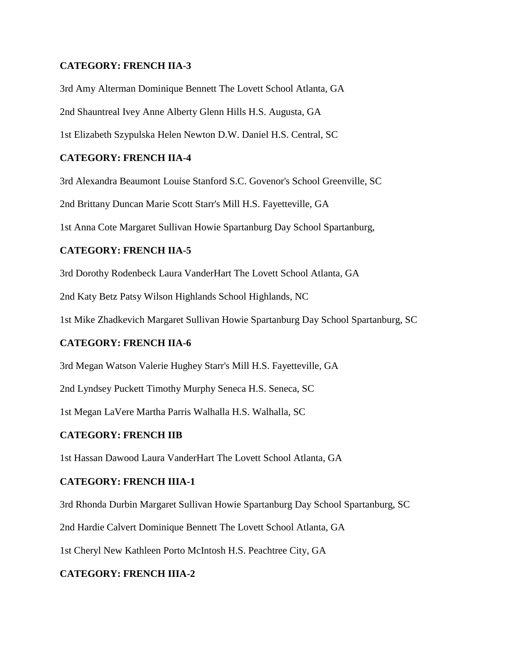## **CATEGORY: FRENCH IIA-3**

3rd Amy Alterman Dominique Bennett The Lovett School Atlanta, GA 2nd Shauntreal Ivey Anne Alberty Glenn Hills H.S. Augusta, GA 1st Elizabeth Szypulska Helen Newton D.W. Daniel H.S. Central, SC

## **CATEGORY: FRENCH IIA-4**

3rd Alexandra Beaumont Louise Stanford S.C. Govenor's School Greenville, SC

2nd Brittany Duncan Marie Scott Starr's Mill H.S. Fayetteville, GA

1st Anna Cote Margaret Sullivan Howie Spartanburg Day School Spartanburg,

## **CATEGORY: FRENCH IIA-5**

3rd Dorothy Rodenbeck Laura VanderHart The Lovett School Atlanta, GA

2nd Katy Betz Patsy Wilson Highlands School Highlands, NC

1st Mike Zhadkevich Margaret Sullivan Howie Spartanburg Day School Spartanburg, SC

## **CATEGORY: FRENCH IIA-6**

3rd Megan Watson Valerie Hughey Starr's Mill H.S. Fayetteville, GA

2nd Lyndsey Puckett Timothy Murphy Seneca H.S. Seneca, SC

1st Megan LaVere Martha Parris Walhalla H.S. Walhalla, SC

## **CATEGORY: FRENCH IIB**

1st Hassan Dawood Laura VanderHart The Lovett School Atlanta, GA

## **CATEGORY: FRENCH IIIA-1**

3rd Rhonda Durbin Margaret Sullivan Howie Spartanburg Day School Spartanburg, SC

2nd Hardie Calvert Dominique Bennett The Lovett School Atlanta, GA

1st Cheryl New Kathleen Porto McIntosh H.S. Peachtree City, GA

## **CATEGORY: FRENCH IIIA-2**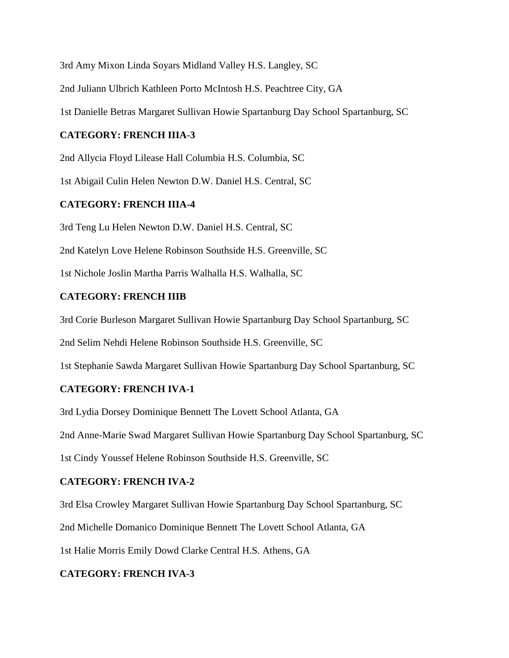3rd Amy Mixon Linda Soyars Midland Valley H.S. Langley, SC

2nd Juliann Ulbrich Kathleen Porto McIntosh H.S. Peachtree City, GA

1st Danielle Betras Margaret Sullivan Howie Spartanburg Day School Spartanburg, SC

## **CATEGORY: FRENCH IIIA-3**

2nd Allycia Floyd Lilease Hall Columbia H.S. Columbia, SC

1st Abigail Culin Helen Newton D.W. Daniel H.S. Central, SC

## **CATEGORY: FRENCH IIIA-4**

3rd Teng Lu Helen Newton D.W. Daniel H.S. Central, SC

2nd Katelyn Love Helene Robinson Southside H.S. Greenville, SC

1st Nichole Joslin Martha Parris Walhalla H.S. Walhalla, SC

## **CATEGORY: FRENCH IIIB**

3rd Corie Burleson Margaret Sullivan Howie Spartanburg Day School Spartanburg, SC

2nd Selim Nehdi Helene Robinson Southside H.S. Greenville, SC

1st Stephanie Sawda Margaret Sullivan Howie Spartanburg Day School Spartanburg, SC

#### **CATEGORY: FRENCH IVA-1**

3rd Lydia Dorsey Dominique Bennett The Lovett School Atlanta, GA

2nd Anne-Marie Swad Margaret Sullivan Howie Spartanburg Day School Spartanburg, SC

1st Cindy Youssef Helene Robinson Southside H.S. Greenville, SC

#### **CATEGORY: FRENCH IVA-2**

3rd Elsa Crowley Margaret Sullivan Howie Spartanburg Day School Spartanburg, SC

2nd Michelle Domanico Dominique Bennett The Lovett School Atlanta, GA

1st Halie Morris Emily Dowd Clarke Central H.S. Athens, GA

## **CATEGORY: FRENCH IVA-3**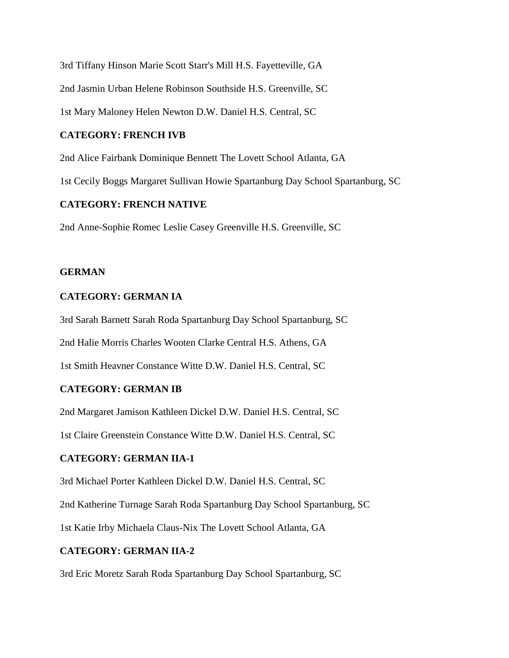3rd Tiffany Hinson Marie Scott Starr's Mill H.S. Fayetteville, GA

2nd Jasmin Urban Helene Robinson Southside H.S. Greenville, SC

1st Mary Maloney Helen Newton D.W. Daniel H.S. Central, SC

## **CATEGORY: FRENCH IVB**

2nd Alice Fairbank Dominique Bennett The Lovett School Atlanta, GA

1st Cecily Boggs Margaret Sullivan Howie Spartanburg Day School Spartanburg, SC

## **CATEGORY: FRENCH NATIVE**

2nd Anne-Sophie Romec Leslie Casey Greenville H.S. Greenville, SC

#### **GERMAN**

## **CATEGORY: GERMAN IA**

3rd Sarah Barnett Sarah Roda Spartanburg Day School Spartanburg, SC

2nd Halie Morris Charles Wooten Clarke Central H.S. Athens, GA

1st Smith Heavner Constance Witte D.W. Daniel H.S. Central, SC

#### **CATEGORY: GERMAN IB**

2nd Margaret Jamison Kathleen Dickel D.W. Daniel H.S. Central, SC

1st Claire Greenstein Constance Witte D.W. Daniel H.S. Central, SC

## **CATEGORY: GERMAN IIA-1**

3rd Michael Porter Kathleen Dickel D.W. Daniel H.S. Central, SC

2nd Katherine Turnage Sarah Roda Spartanburg Day School Spartanburg, SC

1st Katie Irby Michaela Claus-Nix The Lovett School Atlanta, GA

## **CATEGORY: GERMAN IIA-2**

3rd Eric Moretz Sarah Roda Spartanburg Day School Spartanburg, SC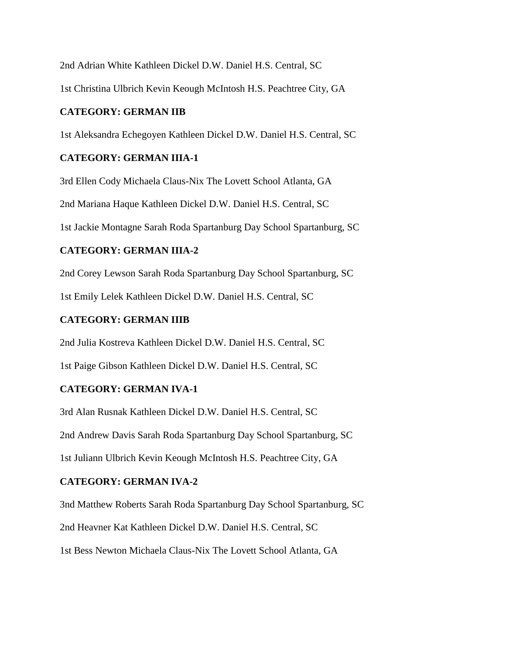2nd Adrian White Kathleen Dickel D.W. Daniel H.S. Central, SC

1st Christina Ulbrich Kevin Keough McIntosh H.S. Peachtree City, GA

## **CATEGORY: GERMAN IIB**

1st Aleksandra Echegoyen Kathleen Dickel D.W. Daniel H.S. Central, SC

## **CATEGORY: GERMAN IIIA-1**

3rd Ellen Cody Michaela Claus-Nix The Lovett School Atlanta, GA 2nd Mariana Haque Kathleen Dickel D.W. Daniel H.S. Central, SC

1st Jackie Montagne Sarah Roda Spartanburg Day School Spartanburg, SC

## **CATEGORY: GERMAN IIIA-2**

2nd Corey Lewson Sarah Roda Spartanburg Day School Spartanburg, SC

1st Emily Lelek Kathleen Dickel D.W. Daniel H.S. Central, SC

## **CATEGORY: GERMAN IIIB**

2nd Julia Kostreva Kathleen Dickel D.W. Daniel H.S. Central, SC

1st Paige Gibson Kathleen Dickel D.W. Daniel H.S. Central, SC

## **CATEGORY: GERMAN IVA-1**

3rd Alan Rusnak Kathleen Dickel D.W. Daniel H.S. Central, SC

2nd Andrew Davis Sarah Roda Spartanburg Day School Spartanburg, SC

1st Juliann Ulbrich Kevin Keough McIntosh H.S. Peachtree City, GA

# **CATEGORY: GERMAN IVA-2**

3nd Matthew Roberts Sarah Roda Spartanburg Day School Spartanburg, SC 2nd Heavner Kat Kathleen Dickel D.W. Daniel H.S. Central, SC 1st Bess Newton Michaela Claus-Nix The Lovett School Atlanta, GA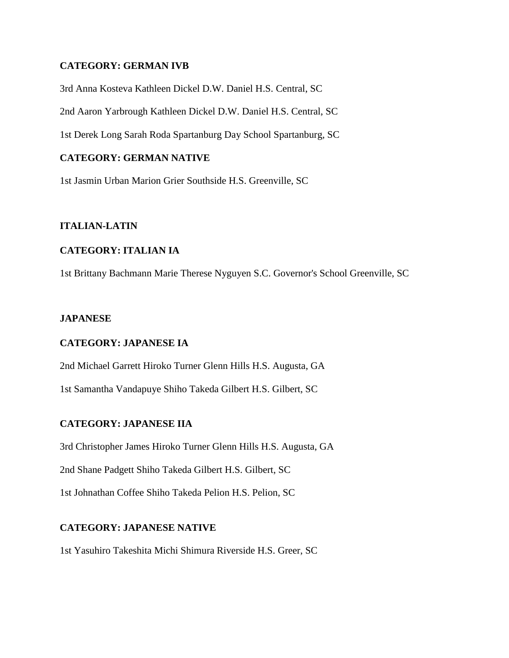#### **CATEGORY: GERMAN IVB**

3rd Anna Kosteva Kathleen Dickel D.W. Daniel H.S. Central, SC

2nd Aaron Yarbrough Kathleen Dickel D.W. Daniel H.S. Central, SC

1st Derek Long Sarah Roda Spartanburg Day School Spartanburg, SC

## **CATEGORY: GERMAN NATIVE**

1st Jasmin Urban Marion Grier Southside H.S. Greenville, SC

#### **ITALIAN-LATIN**

## **CATEGORY: ITALIAN IA**

1st Brittany Bachmann Marie Therese Nyguyen S.C. Governor's School Greenville, SC

#### **JAPANESE**

#### **CATEGORY: JAPANESE IA**

2nd Michael Garrett Hiroko Turner Glenn Hills H.S. Augusta, GA

1st Samantha Vandapuye Shiho Takeda Gilbert H.S. Gilbert, SC

## **CATEGORY: JAPANESE IIA**

3rd Christopher James Hiroko Turner Glenn Hills H.S. Augusta, GA

2nd Shane Padgett Shiho Takeda Gilbert H.S. Gilbert, SC

1st Johnathan Coffee Shiho Takeda Pelion H.S. Pelion, SC

## **CATEGORY: JAPANESE NATIVE**

1st Yasuhiro Takeshita Michi Shimura Riverside H.S. Greer, SC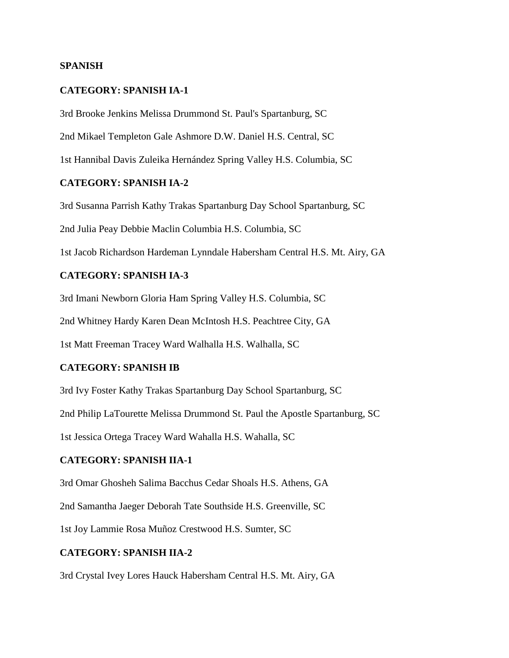#### **SPANISH**

#### **CATEGORY: SPANISH IA-1**

3rd Brooke Jenkins Melissa Drummond St. Paul's Spartanburg, SC

2nd Mikael Templeton Gale Ashmore D.W. Daniel H.S. Central, SC

1st Hannibal Davis Zuleika Hernández Spring Valley H.S. Columbia, SC

## **CATEGORY: SPANISH IA-2**

3rd Susanna Parrish Kathy Trakas Spartanburg Day School Spartanburg, SC

2nd Julia Peay Debbie Maclin Columbia H.S. Columbia, SC

1st Jacob Richardson Hardeman Lynndale Habersham Central H.S. Mt. Airy, GA

## **CATEGORY: SPANISH IA-3**

3rd Imani Newborn Gloria Ham Spring Valley H.S. Columbia, SC

2nd Whitney Hardy Karen Dean McIntosh H.S. Peachtree City, GA

1st Matt Freeman Tracey Ward Walhalla H.S. Walhalla, SC

## **CATEGORY: SPANISH IB**

3rd Ivy Foster Kathy Trakas Spartanburg Day School Spartanburg, SC 2nd Philip LaTourette Melissa Drummond St. Paul the Apostle Spartanburg, SC 1st Jessica Ortega Tracey Ward Wahalla H.S. Wahalla, SC

#### **CATEGORY: SPANISH IIA-1**

3rd Omar Ghosheh Salima Bacchus Cedar Shoals H.S. Athens, GA

2nd Samantha Jaeger Deborah Tate Southside H.S. Greenville, SC

1st Joy Lammie Rosa Muñoz Crestwood H.S. Sumter, SC

#### **CATEGORY: SPANISH IIA-2**

3rd Crystal Ivey Lores Hauck Habersham Central H.S. Mt. Airy, GA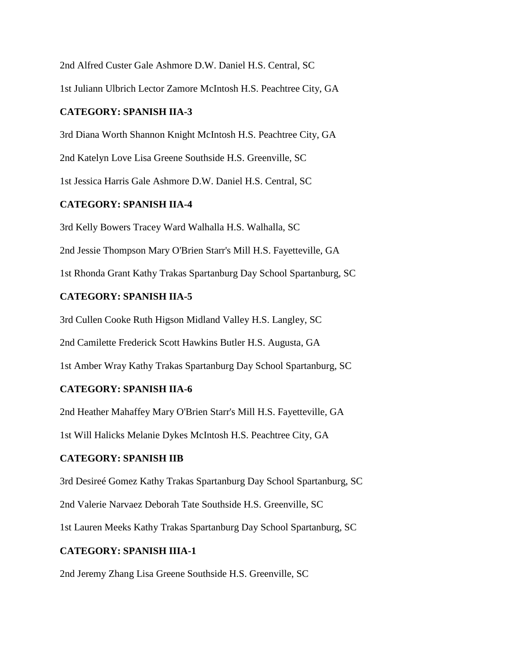2nd Alfred Custer Gale Ashmore D.W. Daniel H.S. Central, SC

1st Juliann Ulbrich Lector Zamore McIntosh H.S. Peachtree City, GA

## **CATEGORY: SPANISH IIA-3**

3rd Diana Worth Shannon Knight McIntosh H.S. Peachtree City, GA 2nd Katelyn Love Lisa Greene Southside H.S. Greenville, SC 1st Jessica Harris Gale Ashmore D.W. Daniel H.S. Central, SC

## **CATEGORY: SPANISH IIA-4**

3rd Kelly Bowers Tracey Ward Walhalla H.S. Walhalla, SC

2nd Jessie Thompson Mary O'Brien Starr's Mill H.S. Fayetteville, GA

1st Rhonda Grant Kathy Trakas Spartanburg Day School Spartanburg, SC

# **CATEGORY: SPANISH IIA-5**

3rd Cullen Cooke Ruth Higson Midland Valley H.S. Langley, SC

2nd Camilette Frederick Scott Hawkins Butler H.S. Augusta, GA

1st Amber Wray Kathy Trakas Spartanburg Day School Spartanburg, SC

## **CATEGORY: SPANISH IIA-6**

2nd Heather Mahaffey Mary O'Brien Starr's Mill H.S. Fayetteville, GA

1st Will Halicks Melanie Dykes McIntosh H.S. Peachtree City, GA

## **CATEGORY: SPANISH IIB**

3rd Desireé Gomez Kathy Trakas Spartanburg Day School Spartanburg, SC

2nd Valerie Narvaez Deborah Tate Southside H.S. Greenville, SC

1st Lauren Meeks Kathy Trakas Spartanburg Day School Spartanburg, SC

# **CATEGORY: SPANISH IIIA-1**

2nd Jeremy Zhang Lisa Greene Southside H.S. Greenville, SC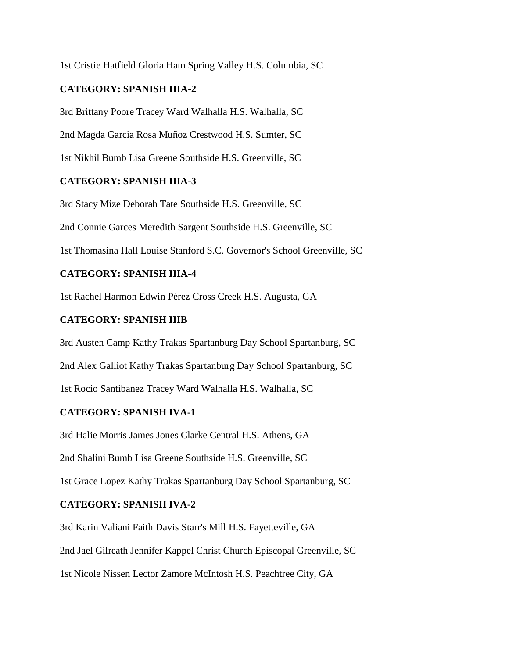1st Cristie Hatfield Gloria Ham Spring Valley H.S. Columbia, SC

# **CATEGORY: SPANISH IIIA-2**

3rd Brittany Poore Tracey Ward Walhalla H.S. Walhalla, SC

2nd Magda Garcia Rosa Muñoz Crestwood H.S. Sumter, SC

1st Nikhil Bumb Lisa Greene Southside H.S. Greenville, SC

# **CATEGORY: SPANISH IIIA-3**

3rd Stacy Mize Deborah Tate Southside H.S. Greenville, SC

2nd Connie Garces Meredith Sargent Southside H.S. Greenville, SC

1st Thomasina Hall Louise Stanford S.C. Governor's School Greenville, SC

# **CATEGORY: SPANISH IIIA-4**

1st Rachel Harmon Edwin Pérez Cross Creek H.S. Augusta, GA

## **CATEGORY: SPANISH IIIB**

3rd Austen Camp Kathy Trakas Spartanburg Day School Spartanburg, SC 2nd Alex Galliot Kathy Trakas Spartanburg Day School Spartanburg, SC 1st Rocio Santibanez Tracey Ward Walhalla H.S. Walhalla, SC

## **CATEGORY: SPANISH IVA-1**

3rd Halie Morris James Jones Clarke Central H.S. Athens, GA

2nd Shalini Bumb Lisa Greene Southside H.S. Greenville, SC

1st Grace Lopez Kathy Trakas Spartanburg Day School Spartanburg, SC

## **CATEGORY: SPANISH IVA-2**

3rd Karin Valiani Faith Davis Starr's Mill H.S. Fayetteville, GA 2nd Jael Gilreath Jennifer Kappel Christ Church Episcopal Greenville, SC 1st Nicole Nissen Lector Zamore McIntosh H.S. Peachtree City, GA